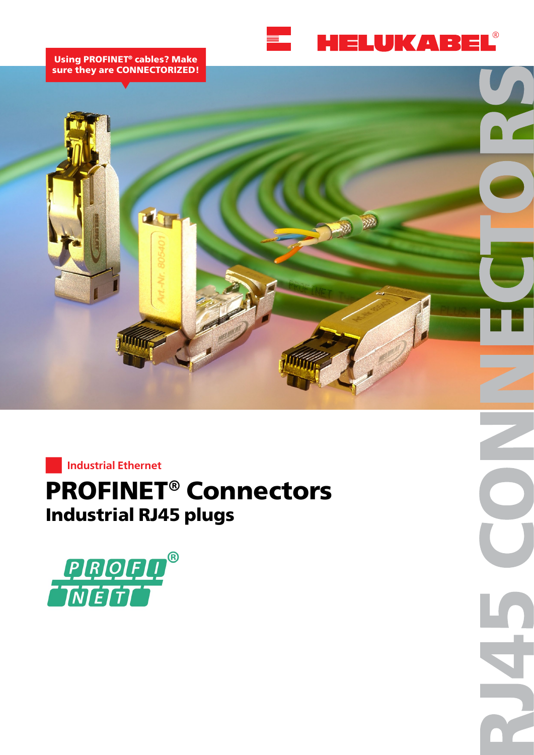

#### **Using PROFINET® cables? Make sure they are CONNECTORIZED!**



**Industrial Ethernet**

# **PROFINET® Connectors Industrial RJ45 plugs**